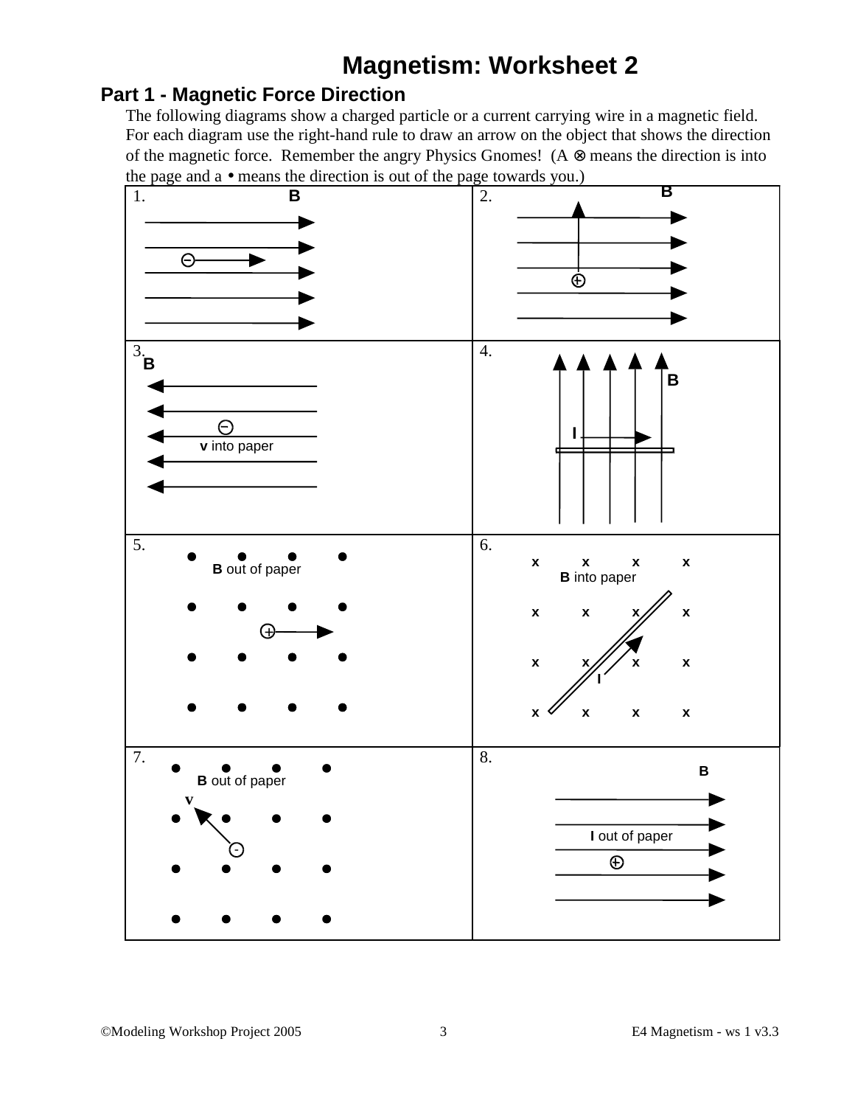## **Magnetism: Worksheet 2**

## **Part 1 - Magnetic Force Direction**

The following diagrams show a charged particle or a current carrying wire in a magnetic field. For each diagram use the right-hand rule to draw an arrow on the object that shows the direction of the magnetic force. Remember the angry Physics Gnomes! ( $A \otimes$  means the direction is into the page and a • means the direction is out of the page towards you.)

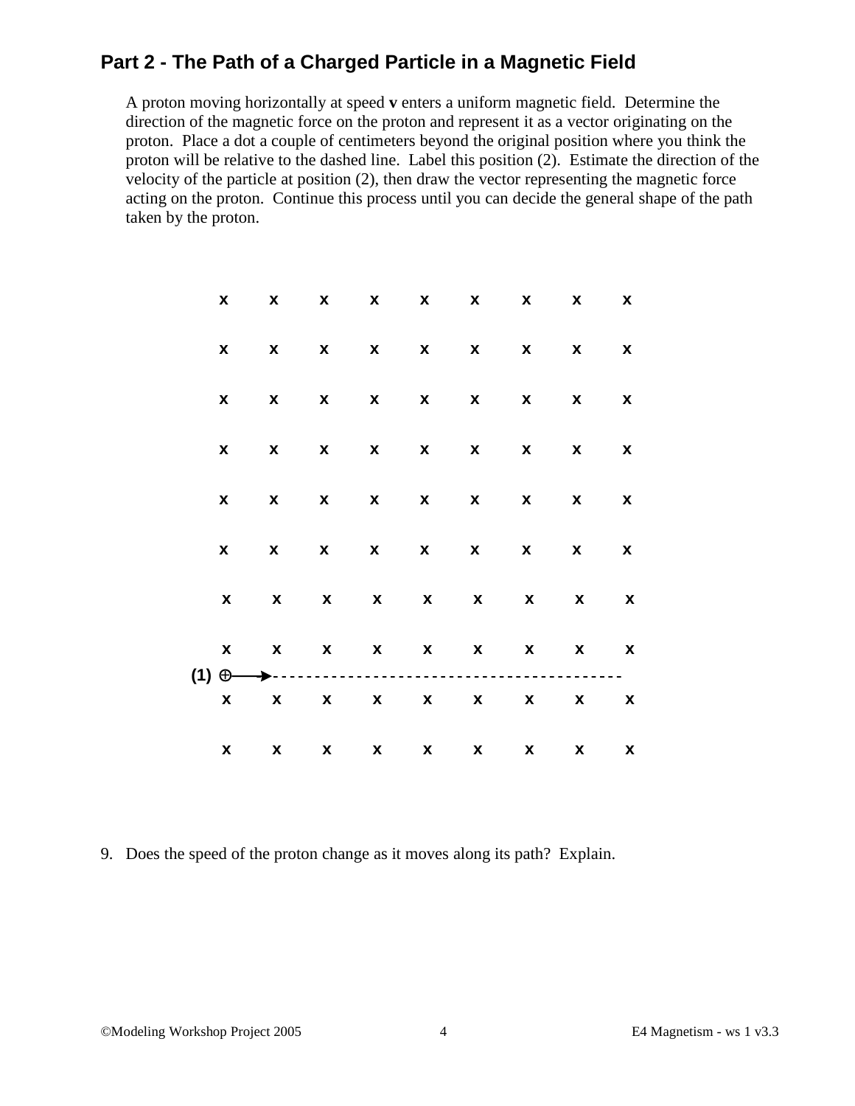## **Part 2 - The Path of a Charged Particle in a Magnetic Field**

A proton moving horizontally at speed **v** enters a uniform magnetic field. Determine the direction of the magnetic force on the proton and represent it as a vector originating on the proton. Place a dot a couple of centimeters beyond the original position where you think the proton will be relative to the dashed line. Label this position (2). Estimate the direction of the velocity of the particle at position (2), then draw the vector representing the magnetic force acting on the proton. Continue this process until you can decide the general shape of the path taken by the proton.

| X                                                                                                | $\mathbf{x}$              | $\mathbf{x}$       |                           |                           |             | X X X X X                 |                                                                                                                                                                                                                                                                                                                                                                                                                                   | $\mathbf x$        |
|--------------------------------------------------------------------------------------------------|---------------------------|--------------------|---------------------------|---------------------------|-------------|---------------------------|-----------------------------------------------------------------------------------------------------------------------------------------------------------------------------------------------------------------------------------------------------------------------------------------------------------------------------------------------------------------------------------------------------------------------------------|--------------------|
| X                                                                                                | $\boldsymbol{\mathsf{x}}$ | $\mathbf{x}$       | $\mathbf{x}$              | $\mathbf{x}$              | $\mathbf x$ | $\boldsymbol{\mathsf{X}}$ | X                                                                                                                                                                                                                                                                                                                                                                                                                                 | X                  |
| X                                                                                                | X                         | $\mathbf{x}$       | $\mathbf{x}$              | $\mathbf x$               | $\mathbf x$ | $\boldsymbol{\mathsf{x}}$ | X                                                                                                                                                                                                                                                                                                                                                                                                                                 | $\pmb{\mathsf{x}}$ |
| X                                                                                                | $\mathbf{x}$ $\mathbf{x}$ |                    | $\mathbf{x}$              | $\mathbf x$               | $\mathbf x$ | $\boldsymbol{\mathsf{X}}$ | X                                                                                                                                                                                                                                                                                                                                                                                                                                 | X                  |
| X                                                                                                | X                         | $\pmb{\mathsf{x}}$ | $\boldsymbol{\mathsf{X}}$ | $\boldsymbol{\mathsf{X}}$ | $\mathbf x$ | $\boldsymbol{\mathsf{X}}$ | X                                                                                                                                                                                                                                                                                                                                                                                                                                 | X                  |
| X                                                                                                | X                         | $\pmb{\mathsf{x}}$ | $\boldsymbol{\mathsf{x}}$ | $\mathbf x$               | $\mathbf x$ | $\boldsymbol{\mathsf{X}}$ | X                                                                                                                                                                                                                                                                                                                                                                                                                                 | X                  |
| X                                                                                                | X                         |                    |                           |                           |             | X X X X X                 | X                                                                                                                                                                                                                                                                                                                                                                                                                                 | X                  |
| X<br>$(1) \oplus \longrightarrow \cdots \cdots \cdots \cdots \cdots \cdots \cdots \cdots \cdots$ | $\mathbf{x}$              | $\mathbf{x}$       |                           |                           |             | $\mathbf{x}$ x x x        | <b>X</b>                                                                                                                                                                                                                                                                                                                                                                                                                          | X                  |
| X                                                                                                | X X X X X X               |                    |                           |                           |             |                           | $\boldsymbol{\mathsf{X}}$ and $\boldsymbol{\mathsf{X}}$ and $\boldsymbol{\mathsf{X}}$ and $\boldsymbol{\mathsf{X}}$ and $\boldsymbol{\mathsf{X}}$ and $\boldsymbol{\mathsf{X}}$ and $\boldsymbol{\mathsf{X}}$ and $\boldsymbol{\mathsf{X}}$ and $\boldsymbol{\mathsf{X}}$ and $\boldsymbol{\mathsf{X}}$ and $\boldsymbol{\mathsf{X}}$ and $\boldsymbol{\mathsf{X}}$ and $\boldsymbol{\mathsf{X}}$ and $\boldsymbol{\mathsf{X}}$ a | X                  |
| X                                                                                                | X X X X X X               |                    |                           |                           |             |                           | $\boldsymbol{\mathsf{X}}$ and $\boldsymbol{\mathsf{X}}$ and $\boldsymbol{\mathsf{X}}$ and $\boldsymbol{\mathsf{X}}$ and $\boldsymbol{\mathsf{X}}$ and $\boldsymbol{\mathsf{X}}$ and $\boldsymbol{\mathsf{X}}$ and $\boldsymbol{\mathsf{X}}$ and $\boldsymbol{\mathsf{X}}$ and $\boldsymbol{\mathsf{X}}$ and $\boldsymbol{\mathsf{X}}$ and $\boldsymbol{\mathsf{X}}$ and $\boldsymbol{\mathsf{X}}$ and $\boldsymbol{\mathsf{X}}$ a | X                  |

9. Does the speed of the proton change as it moves along its path? Explain.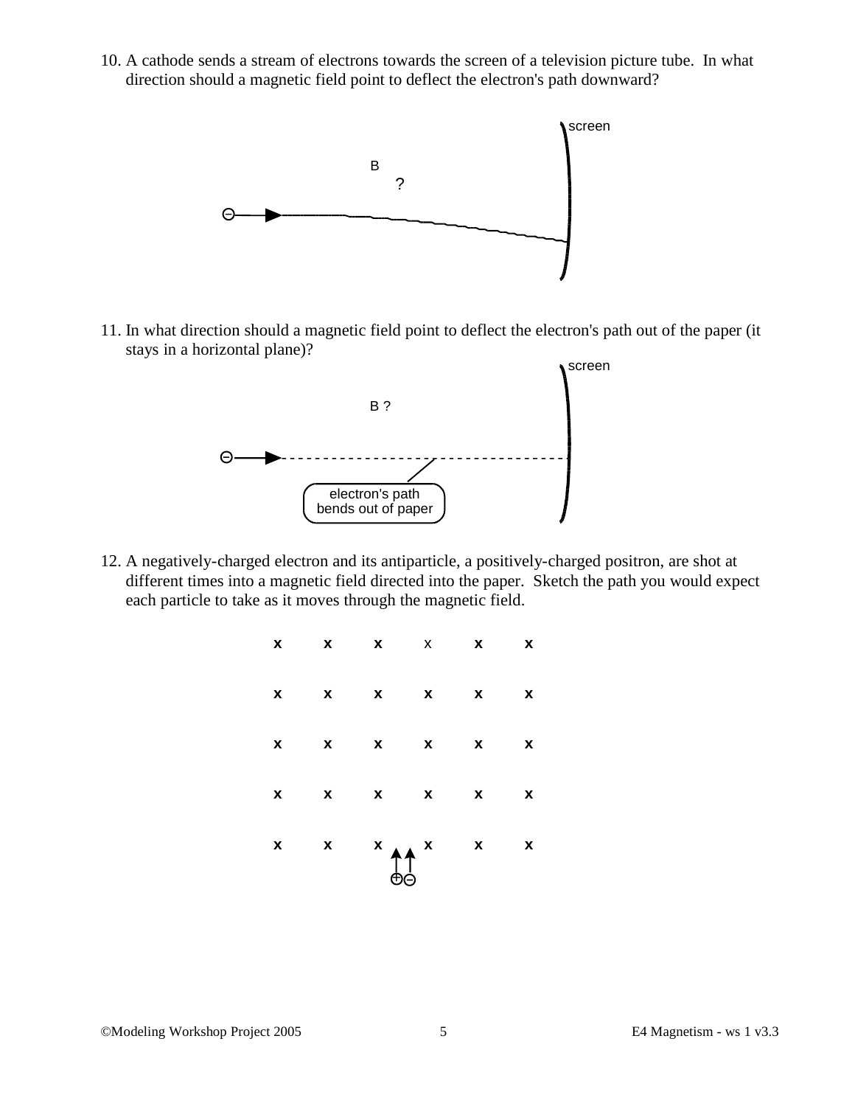10. A cathode sends a stream of electrons towards the screen of a television picture tube. In what direction should a magnetic field point to deflect the electron's path downward?



11. In what direction should a magnetic field point to deflect the electron's path out of the paper (it stays in a horizontal plane)?



12. A negatively-charged electron and its antiparticle, a positively-charged positron, are shot at different times into a magnetic field directed into the paper. Sketch the path you would expect each particle to take as it moves through the magnetic field.

|  | $X$ $X$ $X$ $X$ $X$ $X$ |  |
|--|-------------------------|--|
|  | X X X X X X             |  |
|  | X X X X X X             |  |
|  | x x x x x x             |  |
|  |                         |  |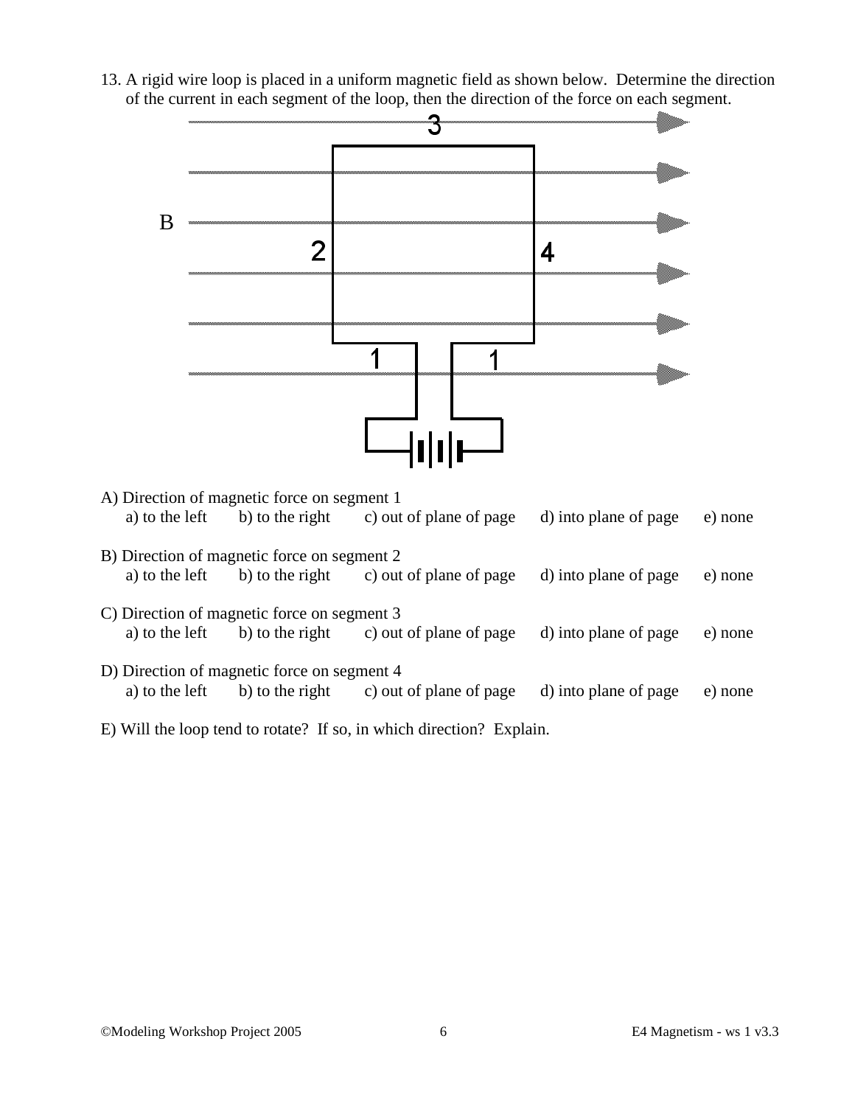13. A rigid wire loop is placed in a uniform magnetic field as shown below. Determine the direction of the current in each segment of the loop, then the direction of the force on each segment.



| A) Direction of magnetic force on segment 1 |                 |                         |                       |         |  |  |  |
|---------------------------------------------|-----------------|-------------------------|-----------------------|---------|--|--|--|
| a) to the left                              | b) to the right | c) out of plane of page | d) into plane of page | e) none |  |  |  |
| B) Direction of magnetic force on segment 2 |                 |                         |                       |         |  |  |  |
| a) to the left                              | b) to the right | c) out of plane of page | d) into plane of page | e) none |  |  |  |
| C) Direction of magnetic force on segment 3 |                 |                         |                       |         |  |  |  |
| a) to the left                              | b) to the right | c) out of plane of page | d) into plane of page | e) none |  |  |  |
| D) Direction of magnetic force on segment 4 |                 |                         |                       |         |  |  |  |
| a) to the left                              | b) to the right | c) out of plane of page | d) into plane of page | e) none |  |  |  |

E) Will the loop tend to rotate? If so, in which direction? Explain.